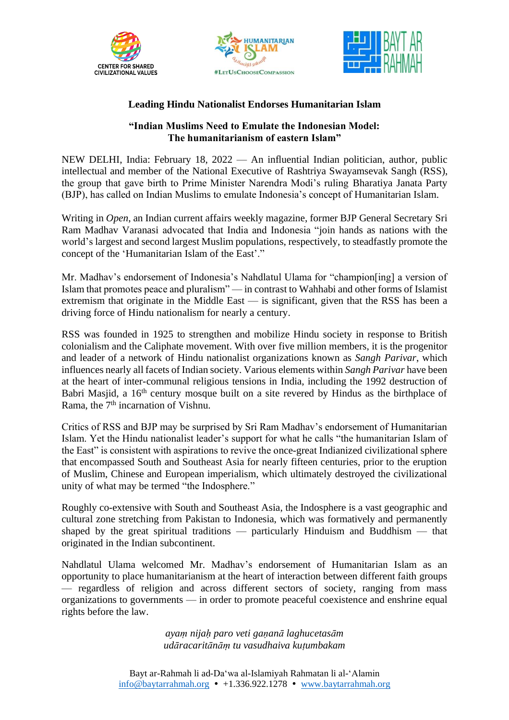





## **Leading Hindu Nationalist Endorses Humanitarian Islam**

## **"Indian Muslims Need to Emulate the Indonesian Model: The humanitarianism of eastern Islam"**

NEW DELHI, India: February 18, 2022 — An influential Indian politician, author, public intellectual and member of the National Executive of Rashtriya Swayamsevak Sangh (RSS), the group that gave birth to Prime Minister Narendra Modi's ruling Bharatiya Janata Party (BJP), has called on Indian Muslims to emulate Indonesia's concept of Humanitarian Islam.

Writing in *Open*, an Indian current affairs weekly magazine, former BJP General Secretary Sri Ram Madhav Varanasi advocated that India and Indonesia "join hands as nations with the world's largest and second largest Muslim populations, respectively, to steadfastly promote the concept of the 'Humanitarian Islam of the East'."

Mr. Madhav's endorsement of Indonesia's Nahdlatul Ulama for "champion[ing] a version of Islam that promotes peace and pluralism" — in contrast to Wahhabi and other forms of Islamist extremism that originate in the Middle East — is significant, given that the RSS has been a driving force of Hindu nationalism for nearly a century.

RSS was founded in 1925 to strengthen and mobilize Hindu society in response to British colonialism and the Caliphate movement. With over five million members, it is the progenitor and leader of a network of Hindu nationalist organizations known as *Sangh Parivar*, which influences nearly all facets of Indian society. Various elements within *Sangh Parivar* have been at the heart of inter-communal religious tensions in India, including the 1992 destruction of Babri Masjid, a 16<sup>th</sup> century mosque built on a site revered by Hindus as the birthplace of Rama, the 7<sup>th</sup> incarnation of Vishnu.

Critics of RSS and BJP may be surprised by Sri Ram Madhav's endorsement of Humanitarian Islam. Yet the Hindu nationalist leader's support for what he calls "the humanitarian Islam of the East" is consistent with aspirations to revive the once-great Indianized civilizational sphere that encompassed South and Southeast Asia for nearly fifteen centuries, prior to the eruption of Muslim, Chinese and European imperialism, which ultimately destroyed the civilizational unity of what may be termed "the Indosphere."

Roughly co-extensive with South and Southeast Asia, the Indosphere is a vast geographic and cultural zone stretching from Pakistan to Indonesia, which was formatively and permanently shaped by the great spiritual traditions — particularly Hinduism and Buddhism — that originated in the Indian subcontinent.

Nahdlatul Ulama welcomed Mr. Madhav's endorsement of Humanitarian Islam as an opportunity to place humanitarianism at the heart of interaction between different faith groups — regardless of religion and across different sectors of society, ranging from mass organizations to governments — in order to promote peaceful coexistence and enshrine equal rights before the law.

> *ayaṃ nijaḥ paro veti gaṇanā laghucetasām udāracaritānāṃ tu vasudhaiva kuṭumbakam*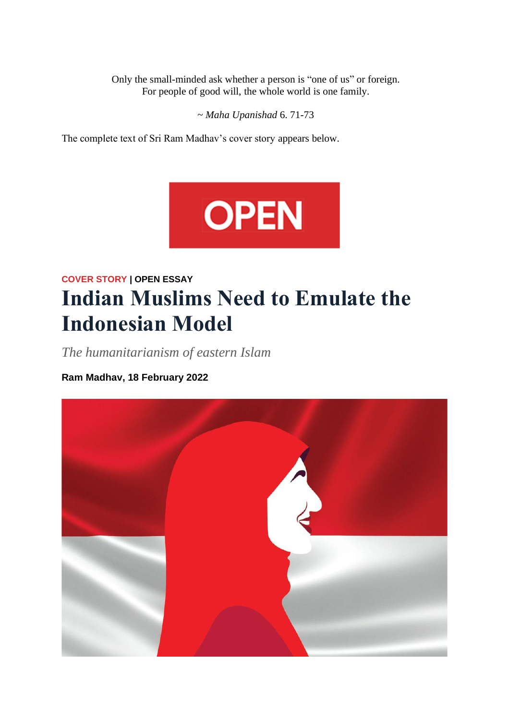Only the small-minded ask whether a person is "one of us" or foreign. For people of good will, the whole world is one family.

~ *Maha Upanishad* 6. 71-73

The complete text of Sri Ram Madhav's cover story appears below.



## **COVER STORY | OPEN ESSAY Indian Muslims Need to Emulate the Indonesian Model**

*The humanitarianism of eastern Islam*

**Ram Madhav, 18 February 2022**

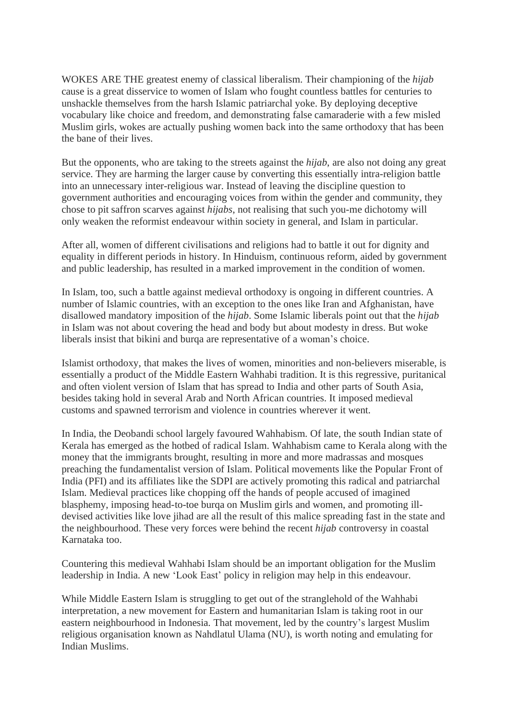WOKES ARE THE greatest enemy of classical liberalism. Their championing of the *hijab* cause is a great disservice to women of Islam who fought countless battles for centuries to unshackle themselves from the harsh Islamic patriarchal yoke. By deploying deceptive vocabulary like choice and freedom, and demonstrating false camaraderie with a few misled Muslim girls, wokes are actually pushing women back into the same orthodoxy that has been the bane of their lives.

But the opponents, who are taking to the streets against the *hijab*, are also not doing any great service. They are harming the larger cause by converting this essentially intra-religion battle into an unnecessary inter-religious war. Instead of leaving the discipline question to government authorities and encouraging voices from within the gender and community, they chose to pit saffron scarves against *hijabs*, not realising that such you-me dichotomy will only weaken the reformist endeavour within society in general, and Islam in particular.

After all, women of different civilisations and religions had to battle it out for dignity and equality in different periods in history. In Hinduism, continuous reform, aided by government and public leadership, has resulted in a marked improvement in the condition of women.

In Islam, too, such a battle against medieval orthodoxy is ongoing in different countries. A number of Islamic countries, with an exception to the ones like Iran and Afghanistan, have disallowed mandatory imposition of the *hijab*. Some Islamic liberals point out that the *hijab* in Islam was not about covering the head and body but about modesty in dress. But woke liberals insist that bikini and burqa are representative of a woman's choice.

Islamist orthodoxy, that makes the lives of women, minorities and non-believers miserable, is essentially a product of the Middle Eastern Wahhabi tradition. It is this regressive, puritanical and often violent version of Islam that has spread to India and other parts of South Asia, besides taking hold in several Arab and North African countries. It imposed medieval customs and spawned terrorism and violence in countries wherever it went.

In India, the Deobandi school largely favoured Wahhabism. Of late, the south Indian state of Kerala has emerged as the hotbed of radical Islam. Wahhabism came to Kerala along with the money that the immigrants brought, resulting in more and more madrassas and mosques preaching the fundamentalist version of Islam. Political movements like the Popular Front of India (PFI) and its affiliates like the SDPI are actively promoting this radical and patriarchal Islam. Medieval practices like chopping off the hands of people accused of imagined blasphemy, imposing head-to-toe burqa on Muslim girls and women, and promoting illdevised activities like love jihad are all the result of this malice spreading fast in the state and the neighbourhood. These very forces were behind the recent *hijab* controversy in coastal Karnataka too.

Countering this medieval Wahhabi Islam should be an important obligation for the Muslim leadership in India. A new 'Look East' policy in religion may help in this endeavour.

While Middle Eastern Islam is struggling to get out of the stranglehold of the Wahhabi interpretation, a new movement for Eastern and humanitarian Islam is taking root in our eastern neighbourhood in Indonesia. That movement, led by the country's largest Muslim religious organisation known as Nahdlatul Ulama (NU), is worth noting and emulating for Indian Muslims.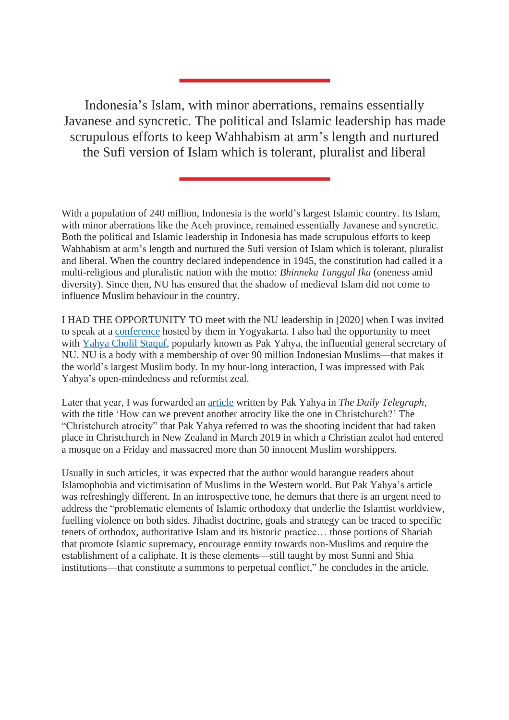Indonesia's Islam, with minor aberrations, remains essentially Javanese and syncretic. The political and Islamic leadership has made scrupulous efforts to keep Wahhabism at arm's length and nurtured the Sufi version of Islam which is tolerant, pluralist and liberal

With a population of 240 million, Indonesia is the world's largest Islamic country. Its Islam, with minor aberrations like the Aceh province, remained essentially Javanese and syncretic. Both the political and Islamic leadership in Indonesia has made scrupulous efforts to keep Wahhabism at arm's length and nurtured the Sufi version of Islam which is tolerant, pluralist and liberal. When the country declared independence in 1945, the constitution had called it a multi-religious and pluralistic nation with the motto: *Bhinneka Tunggal Ika* (oneness amid diversity). Since then, NU has ensured that the shadow of medieval Islam did not come to influence Muslim behaviour in the country.

I HAD THE OPPORTUNITY TO meet with the NU leadership in [2020] when I was invited to speak at a [conference](https://baytarrahmah.org/2020_01_24_western-humanism-christian-democracy-and-humanitarian-islam/) hosted by them in Yogyakarta. I also had the opportunity to meet with Yahya Cholil [Staquf,](https://baytarrahmah.org/yahya-cholil-staquf-biography/) popularly known as Pak Yahya, the influential general secretary of NU. NU is a body with a membership of over 90 million Indonesian Muslims—that makes it the world's largest Muslim body. In my hour-long interaction, I was impressed with Pak Yahya's open-mindedness and reformist zeal.

Later that year, I was forwarded an [article](https://www.baytarrahmah.org/media/2019/telegraph_prevent-another-christchurch-islam-must-confront-attacks-name_03-25-19.pdf) written by Pak Yahya in *The Daily Telegraph*, with the title 'How can we prevent another atrocity like the one in Christchurch?' The "Christchurch atrocity" that Pak Yahya referred to was the shooting incident that had taken place in Christchurch in New Zealand in March 2019 in which a Christian zealot had entered a mosque on a Friday and massacred more than 50 innocent Muslim worshippers.

Usually in such articles, it was expected that the author would harangue readers about Islamophobia and victimisation of Muslims in the Western world. But Pak Yahya's article was refreshingly different. In an introspective tone, he demurs that there is an urgent need to address the "problematic elements of Islamic orthodoxy that underlie the Islamist worldview, fuelling violence on both sides. Jihadist doctrine, goals and strategy can be traced to specific tenets of orthodox, authoritative Islam and its historic practice… those portions of Shariah that promote Islamic supremacy, encourage enmity towards non-Muslims and require the establishment of a caliphate. It is these elements—still taught by most Sunni and Shia institutions—that constitute a summons to perpetual conflict," he concludes in the article.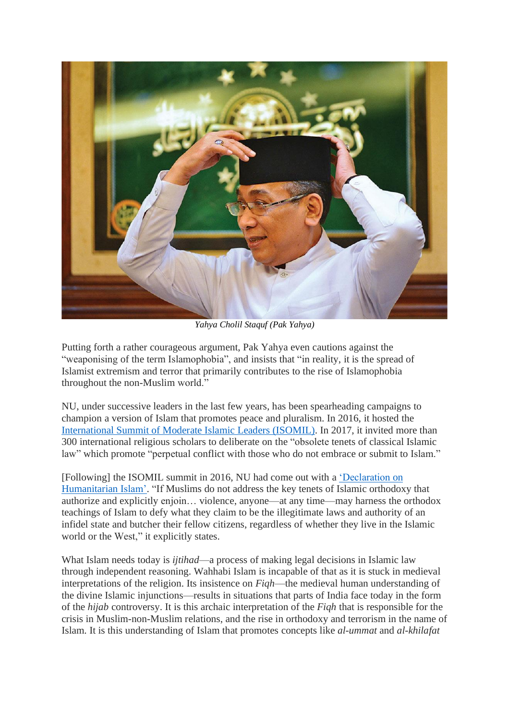

*Yahya Cholil Staquf (Pak Yahya)*

Putting forth a rather courageous argument, Pak Yahya even cautions against the "weaponising of the term Islamophobia", and insists that "in reality, it is the spread of Islamist extremism and terror that primarily contributes to the rise of Islamophobia throughout the non-Muslim world."

NU, under successive leaders in the last few years, has been spearheading campaigns to champion a version of Islam that promotes peace and pluralism. In 2016, it hosted the [International](https://baytarrahmah.org/2016_05_10_isomil-nahdlatul-ulama-declaration/) Summit of Moderate Islamic Leaders (ISOMIL). In 2017, it invited more than 300 international religious scholars to deliberate on the "obsolete tenets of classical Islamic law" which promote "perpetual conflict with those who do not embrace or submit to Islam."

[Following] the ISOMIL summit in 2016, NU had come out with a ['Declaration](https://www.baytarrahmah.org/media/2017/Gerakan-Pemuda-Ansor_Declaration-on-Humanitarian-Islam.pdf) on [Humanitarian](https://www.baytarrahmah.org/media/2017/Gerakan-Pemuda-Ansor_Declaration-on-Humanitarian-Islam.pdf) Islam'. "If Muslims do not address the key tenets of Islamic orthodoxy that authorize and explicitly enjoin… violence, anyone—at any time—may harness the orthodox teachings of Islam to defy what they claim to be the illegitimate laws and authority of an infidel state and butcher their fellow citizens, regardless of whether they live in the Islamic world or the West," it explicitly states.

What Islam needs today is *ijtihad*—a process of making legal decisions in Islamic law through independent reasoning. Wahhabi Islam is incapable of that as it is stuck in medieval interpretations of the religion. Its insistence on *Fiqh*—the medieval human understanding of the divine Islamic injunctions—results in situations that parts of India face today in the form of the *hijab* controversy. It is this archaic interpretation of the *Fiqh* that is responsible for the crisis in Muslim-non-Muslim relations, and the rise in orthodoxy and terrorism in the name of Islam. It is this understanding of Islam that promotes concepts like *al-ummat* and *al-khilafat*